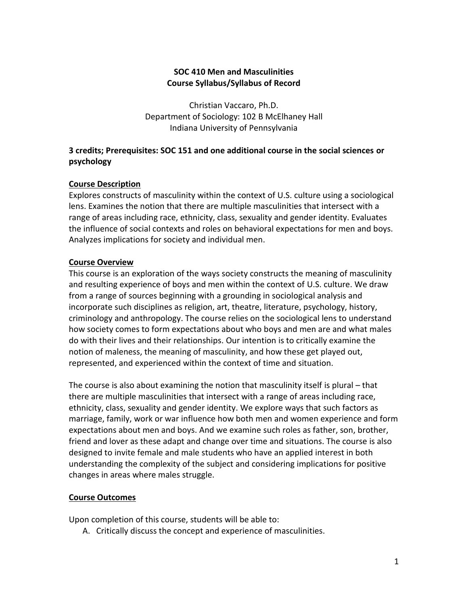#### **SOC 410 Men and Masculinities Course Syllabus/Syllabus of Record**

Christian Vaccaro, Ph.D. Department of Sociology: 102 B McElhaney Hall Indiana University of Pennsylvania

### **3 credits; Prerequisites: SOC 151 and one additional course in the social sciences or psychology**

### **Course Description**

Explores constructs of masculinity within the context of U.S. culture using a sociological lens. Examines the notion that there are multiple masculinities that intersect with a range of areas including race, ethnicity, class, sexuality and gender identity. Evaluates the influence of social contexts and roles on behavioral expectations for men and boys. Analyzes implications for society and individual men.

#### **Course Overview**

This course is an exploration of the ways society constructs the meaning of masculinity and resulting experience of boys and men within the context of U.S. culture. We draw from a range of sources beginning with a grounding in sociological analysis and incorporate such disciplines as religion, art, theatre, literature, psychology, history, criminology and anthropology. The course relies on the sociological lens to understand how society comes to form expectations about who boys and men are and what males do with their lives and their relationships. Our intention is to critically examine the notion of maleness, the meaning of masculinity, and how these get played out, represented, and experienced within the context of time and situation.

The course is also about examining the notion that masculinity itself is plural – that there are multiple masculinities that intersect with a range of areas including race, ethnicity, class, sexuality and gender identity. We explore ways that such factors as marriage, family, work or war influence how both men and women experience and form expectations about men and boys. And we examine such roles as father, son, brother, friend and lover as these adapt and change over time and situations. The course is also designed to invite female and male students who have an applied interest in both understanding the complexity of the subject and considering implications for positive changes in areas where males struggle.

#### **Course Outcomes**

Upon completion of this course, students will be able to:

A. Critically discuss the concept and experience of masculinities.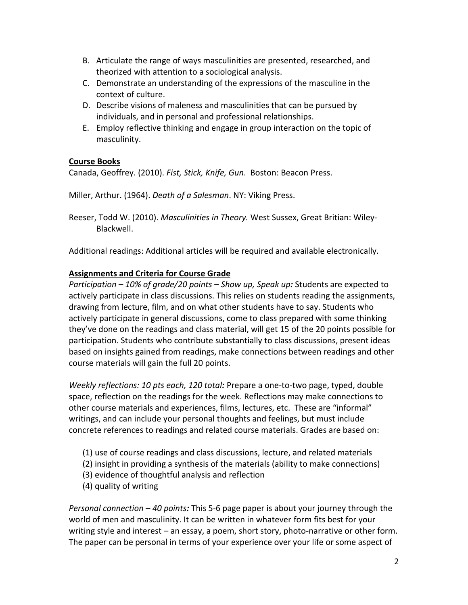- B. Articulate the range of ways masculinities are presented, researched, and theorized with attention to a sociological analysis.
- C. Demonstrate an understanding of the expressions of the masculine in the context of culture.
- D. Describe visions of maleness and masculinities that can be pursued by individuals, and in personal and professional relationships.
- E. Employ reflective thinking and engage in group interaction on the topic of masculinity.

## **Course Books**

Canada, Geoffrey. (2010). *Fist, Stick, Knife, Gun*. Boston: Beacon Press.

Miller, Arthur. (1964). *Death of a Salesman*. NY: Viking Press.

Reeser, Todd W. (2010). *Masculinities in Theory.* West Sussex, Great Britian: Wiley-Blackwell.

Additional readings: Additional articles will be required and available electronically.

# **Assignments and Criteria for Course Grade**

*Participation – 10% of grade/20 points – Show up, Speak up:* Students are expected to actively participate in class discussions. This relies on students reading the assignments, drawing from lecture, film, and on what other students have to say. Students who actively participate in general discussions, come to class prepared with some thinking they've done on the readings and class material, will get 15 of the 20 points possible for participation. Students who contribute substantially to class discussions, present ideas based on insights gained from readings, make connections between readings and other course materials will gain the full 20 points.

*Weekly reflections: 10 pts each, 120 total:* Prepare a one-to-two page, typed, double space, reflection on the readings for the week. Reflections may make connections to other course materials and experiences, films, lectures, etc. These are "informal" writings, and can include your personal thoughts and feelings, but must include concrete references to readings and related course materials. Grades are based on:

- (1) use of course readings and class discussions, lecture, and related materials
- (2) insight in providing a synthesis of the materials (ability to make connections)
- (3) evidence of thoughtful analysis and reflection
- (4) quality of writing

*Personal connection – 40 points:* This 5-6 page paper is about your journey through the world of men and masculinity. It can be written in whatever form fits best for your writing style and interest – an essay, a poem, short story, photo-narrative or other form. The paper can be personal in terms of your experience over your life or some aspect of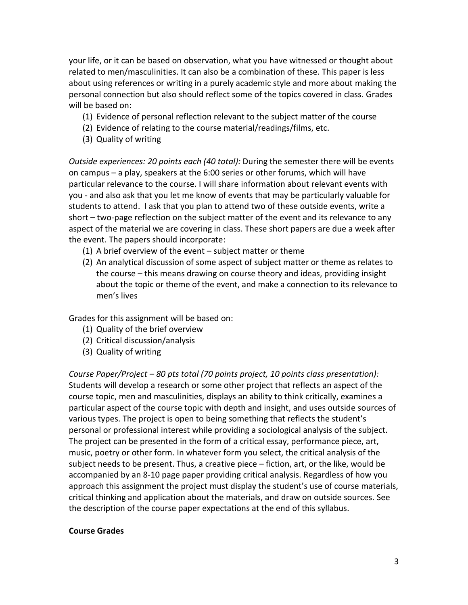your life, or it can be based on observation, what you have witnessed or thought about related to men/masculinities. It can also be a combination of these. This paper is less about using references or writing in a purely academic style and more about making the personal connection but also should reflect some of the topics covered in class. Grades will be based on:

- (1) Evidence of personal reflection relevant to the subject matter of the course
- (2) Evidence of relating to the course material/readings/films, etc.
- (3) Quality of writing

*Outside experiences: 20 points each (40 total):* During the semester there will be events on campus – a play, speakers at the 6:00 series or other forums, which will have particular relevance to the course. I will share information about relevant events with you - and also ask that you let me know of events that may be particularly valuable for students to attend. I ask that you plan to attend two of these outside events, write a short – two-page reflection on the subject matter of the event and its relevance to any aspect of the material we are covering in class. These short papers are due a week after the event. The papers should incorporate:

- (1) A brief overview of the event subject matter or theme
- (2) An analytical discussion of some aspect of subject matter or theme as relates to the course – this means drawing on course theory and ideas, providing insight about the topic or theme of the event, and make a connection to its relevance to men's lives

Grades for this assignment will be based on:

- (1) Quality of the brief overview
- (2) Critical discussion/analysis
- (3) Quality of writing

*Course Paper/Project – 80 pts total (70 points project, 10 points class presentation):* Students will develop a research or some other project that reflects an aspect of the course topic, men and masculinities, displays an ability to think critically, examines a particular aspect of the course topic with depth and insight, and uses outside sources of various types. The project is open to being something that reflects the student's personal or professional interest while providing a sociological analysis of the subject. The project can be presented in the form of a critical essay, performance piece, art, music, poetry or other form. In whatever form you select, the critical analysis of the subject needs to be present. Thus, a creative piece – fiction, art, or the like, would be accompanied by an 8-10 page paper providing critical analysis. Regardless of how you approach this assignment the project must display the student's use of course materials, critical thinking and application about the materials, and draw on outside sources. See the description of the course paper expectations at the end of this syllabus.

#### **Course Grades**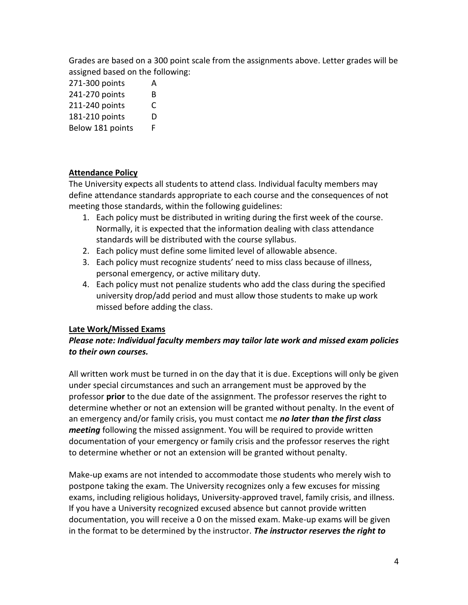Grades are based on a 300 point scale from the assignments above. Letter grades will be assigned based on the following:

- 271-300 points A
- 241-270 points B
- 211-240 points C
- 181-210 points D
- Below 181 points F

## **Attendance Policy**

The University expects all students to attend class. Individual faculty members may define attendance standards appropriate to each course and the consequences of not meeting those standards, within the following guidelines:

- 1. Each policy must be distributed in writing during the first week of the course. Normally, it is expected that the information dealing with class attendance standards will be distributed with the course syllabus.
- 2. Each policy must define some limited level of allowable absence.
- 3. Each policy must recognize students' need to miss class because of illness, personal emergency, or active military duty.
- 4. Each policy must not penalize students who add the class during the specified university drop/add period and must allow those students to make up work missed before adding the class.

# **Late Work/Missed Exams**

## *Please note: Individual faculty members may tailor late work and missed exam policies to their own courses.*

All written work must be turned in on the day that it is due. Exceptions will only be given under special circumstances and such an arrangement must be approved by the professor **prior** to the due date of the assignment. The professor reserves the right to determine whether or not an extension will be granted without penalty. In the event of an emergency and/or family crisis, you must contact me *no later than the first class meeting* following the missed assignment. You will be required to provide written documentation of your emergency or family crisis and the professor reserves the right to determine whether or not an extension will be granted without penalty.

Make-up exams are not intended to accommodate those students who merely wish to postpone taking the exam. The University recognizes only a few excuses for missing exams, including religious holidays, University-approved travel, family crisis, and illness. If you have a University recognized excused absence but cannot provide written documentation, you will receive a 0 on the missed exam. Make-up exams will be given in the format to be determined by the instructor. *The instructor reserves the right to*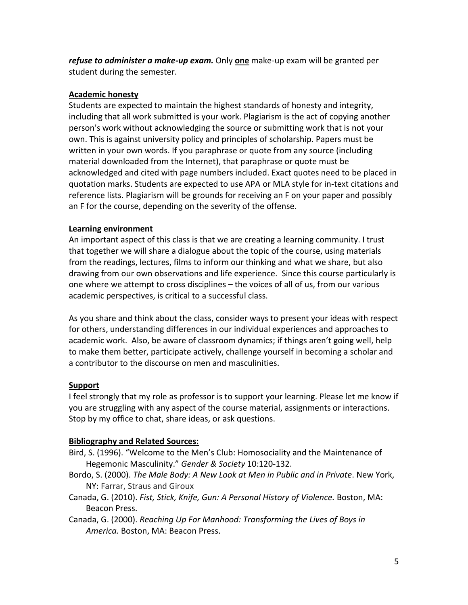*refuse to administer a make-up exam.* Only **one** make-up exam will be granted per student during the semester.

### **Academic honesty**

Students are expected to maintain the highest standards of honesty and integrity, including that all work submitted is your work. Plagiarism is the act of copying another person's work without acknowledging the source or submitting work that is not your own. This is against university policy and principles of scholarship. Papers must be written in your own words. If you paraphrase or quote from any source (including material downloaded from the Internet), that paraphrase or quote must be acknowledged and cited with page numbers included. Exact quotes need to be placed in quotation marks. Students are expected to use APA or MLA style for in-text citations and reference lists. Plagiarism will be grounds for receiving an F on your paper and possibly an F for the course, depending on the severity of the offense.

## **Learning environment**

An important aspect of this class is that we are creating a learning community. I trust that together we will share a dialogue about the topic of the course, using materials from the readings, lectures, films to inform our thinking and what we share, but also drawing from our own observations and life experience. Since this course particularly is one where we attempt to cross disciplines – the voices of all of us, from our various academic perspectives, is critical to a successful class.

As you share and think about the class, consider ways to present your ideas with respect for others, understanding differences in our individual experiences and approaches to academic work. Also, be aware of classroom dynamics; if things aren't going well, help to make them better, participate actively, challenge yourself in becoming a scholar and a contributor to the discourse on men and masculinities.

# **Support**

I feel strongly that my role as professor is to support your learning. Please let me know if you are struggling with any aspect of the course material, assignments or interactions. Stop by my office to chat, share ideas, or ask questions.

### **Bibliography and Related Sources:**

- Bird, S. (1996). "Welcome to the Men's Club: Homosociality and the Maintenance of Hegemonic Masculinity." *Gender & Society* 10:120-132.
- Bordo, S. (2000). *The Male Body: A New Look at Men in Public and in Private*. New York, NY: Farrar, Straus and Giroux
- Canada, G. (2010). *Fist, Stick, Knife, Gun: A Personal History of Violence.* Boston, MA: Beacon Press.
- Canada, G. (2000). *Reaching Up For Manhood: Transforming the Lives of Boys in America.* Boston, MA: Beacon Press.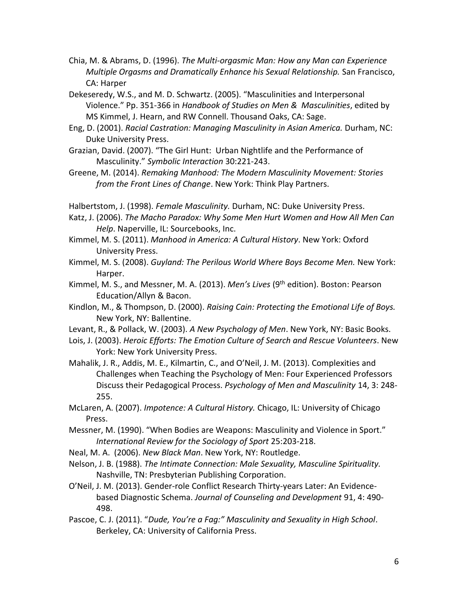- Chia, M. & Abrams, D. (1996). *The Multi-orgasmic Man: How any Man can Experience Multiple Orgasms and Dramatically Enhance his Sexual Relationship.* San Francisco, CA: Harper
- Dekeseredy, W.S., and M. D. Schwartz. (2005). "Masculinities and Interpersonal Violence." Pp. 351-366 in *Handbook of Studies on Men & Masculinities*, edited by MS Kimmel, J. Hearn, and RW Connell. Thousand Oaks, CA: Sage.
- Eng, D. (2001). *Racial Castration: Managing Masculinity in Asian America.* Durham, NC: Duke University Press.
- Grazian, David. (2007). "The Girl Hunt: Urban Nightlife and the Performance of Masculinity." *Symbolic Interaction* 30:221-243.
- Greene, M. (2014). *Remaking Manhood: The Modern Masculinity Movement: Stories from the Front Lines of Change*. New York: Think Play Partners.
- Halbertstom, J. (1998). *Female Masculinity.* Durham, NC: Duke University Press.
- Katz, J. (2006). *The Macho Paradox: Why Some Men Hurt Women and How All Men Can Help*. Naperville, IL: Sourcebooks, Inc.
- Kimmel, M. S. (2011). *Manhood in America: A Cultural History*. New York: Oxford University Press.
- Kimmel, M. S. (2008). *Guyland: The Perilous World Where Boys Become Men.* New York: Harper.
- Kimmel, M. S., and Messner, M. A. (2013). *Men's Lives* (9th edition). Boston: Pearson Education/Allyn & Bacon.
- Kindlon, M., & Thompson, D. (2000). *Raising Cain: Protecting the Emotional Life of Boys.*  New York, NY: Ballentine.
- Levant, R., & Pollack, W. (2003). *A New Psychology of Men*. New York, NY: Basic Books.
- Lois, J. (2003). *Heroic Efforts: The Emotion Culture of Search and Rescue Volunteers*. New York: New York University Press.
- Mahalik, J. R., Addis, M. E., Kilmartin, C., and O'Neil, J. M. (2013). Complexities and Challenges when Teaching the Psychology of Men: Four Experienced Professors Discuss their Pedagogical Process. *Psychology of Men and Masculinity* 14, 3: 248- 255.
- McLaren, A. (2007). *Impotence: A Cultural History.* Chicago, IL: University of Chicago Press.
- Messner, M. (1990). "When Bodies are Weapons: Masculinity and Violence in Sport." *International Review for the Sociology of Sport* 25:203-218.
- Neal, M. A. (2006). *New Black Man*. New York, NY: Routledge.
- Nelson, J. B. (1988). *The Intimate Connection: Male Sexuality, Masculine Spirituality.*  Nashville, TN: Presbyterian Publishing Corporation.
- O'Neil, J. M. (2013). Gender-role Conflict Research Thirty-years Later: An Evidencebased Diagnostic Schema. *Journal of Counseling and Development* 91, 4: 490- 498.
- Pascoe, C. J. (2011). "*Dude, You're a Fag:" Masculinity and Sexuality in High School*. Berkeley, CA: University of California Press.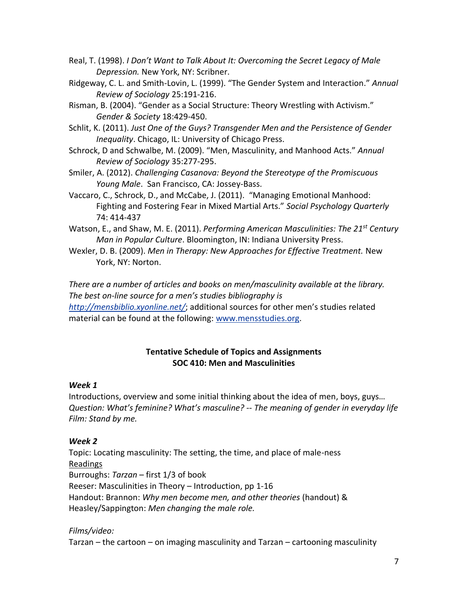- Real, T. (1998). *I Don't Want to Talk About It: Overcoming the Secret Legacy of Male Depression.* New York, NY: Scribner.
- Ridgeway, C. L. and Smith-Lovin, L. (1999). "The Gender System and Interaction." *Annual Review of Sociology* 25:191-216.
- Risman, B. (2004). "Gender as a Social Structure: Theory Wrestling with Activism." *Gender & Society* 18:429-450.
- Schlit, K. (2011). *Just One of the Guys? Transgender Men and the Persistence of Gender Inequality*. Chicago, IL: University of Chicago Press.
- Schrock, D and Schwalbe, M. (2009). "Men, Masculinity, and Manhood Acts." *Annual Review of Sociology* 35:277-295.
- Smiler, A. (2012). *Challenging Casanova: Beyond the Stereotype of the Promiscuous Young Male*. San Francisco, CA: Jossey-Bass.
- Vaccaro, C., Schrock, D., and McCabe, J. (2011). "Managing Emotional Manhood: Fighting and Fostering Fear in Mixed Martial Arts." *Social Psychology Quarterly* 74: 414-437
- Watson, E., and Shaw, M. E. (2011). *Performing American Masculinities: The 21st Century Man in Popular Culture*. Bloomington, IN: Indiana University Press.
- Wexler, D. B. (2009). *Men in Therapy: New Approaches for Effective Treatment.* New York, NY: Norton.

*There are a number of articles and books on men/masculinity available at the library. The best on-line source for a men's studies bibliography is <http://mensbiblio.xyonline.net/>*; additional sources for other men's studies related material can be found at the following: [www.mensstudies.org.](http://www.mensstudies.org/)

## **Tentative Schedule of Topics and Assignments SOC 410: Men and Masculinities**

### *Week 1*

Introductions, overview and some initial thinking about the idea of men, boys, guys… *Question: What's feminine? What's masculine? -- The meaning of gender in everyday life Film: Stand by me.*

### *Week 2*

Topic: Locating masculinity: The setting, the time, and place of male-ness Readings Burroughs: *Tarzan* – first 1/3 of book Reeser: Masculinities in Theory – Introduction, pp 1-16 Handout: Brannon: *Why men become men, and other theories* (handout) & Heasley/Sappington: *Men changing the male role.*

# *Films/video:*

Tarzan – the cartoon – on imaging masculinity and Tarzan – cartooning masculinity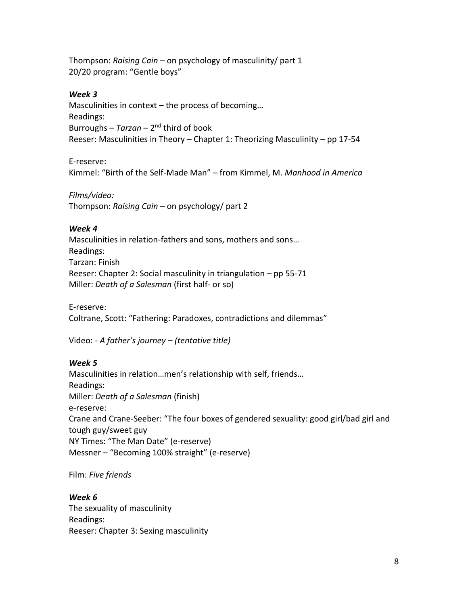Thompson: *Raising Cain* – on psychology of masculinity/ part 1 20/20 program: "Gentle boys"

#### *Week 3*

Masculinities in context – the process of becoming… Readings: Burroughs - Tarzan - 2<sup>nd</sup> third of book Reeser: Masculinities in Theory – Chapter 1: Theorizing Masculinity – pp 17-54

E-reserve:

Kimmel: "Birth of the Self-Made Man" – from Kimmel, M. *Manhood in America*

*Films/video:*

Thompson: *Raising Cain* – on psychology/ part 2

#### *Week 4*

Masculinities in relation-fathers and sons, mothers and sons… Readings: Tarzan: Finish Reeser: Chapter 2: Social masculinity in triangulation – pp 55-71 Miller: *Death of a Salesman* (first half- or so)

E-reserve: Coltrane, Scott: "Fathering: Paradoxes, contradictions and dilemmas"

Video: *- A father's journey – (tentative title)*

### *Week 5*

Masculinities in relation…men's relationship with self, friends… Readings: Miller: *Death of a Salesman* (finish) e-reserve: Crane and Crane-Seeber: "The four boxes of gendered sexuality: good girl/bad girl and tough guy/sweet guy NY Times: "The Man Date" (e-reserve) Messner – "Becoming 100% straight" (e-reserve)

Film: *Five friends*

#### *Week 6*

The sexuality of masculinity Readings: Reeser: Chapter 3: Sexing masculinity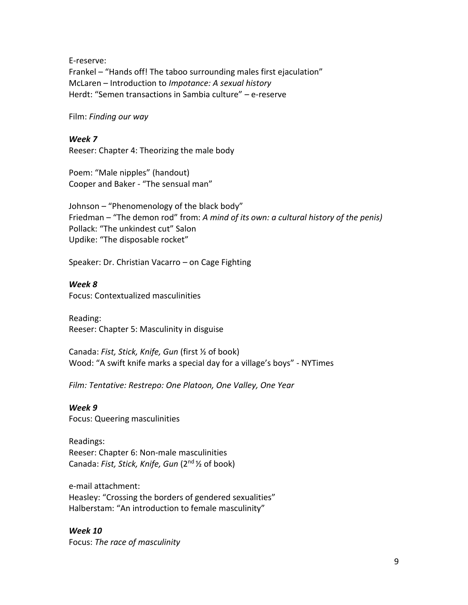E-reserve: Frankel – "Hands off! The taboo surrounding males first ejaculation" McLaren – Introduction to *Impotance: A sexual history* Herdt: "Semen transactions in Sambia culture" – e-reserve

Film: *Finding our way*

*Week 7*

Reeser: Chapter 4: Theorizing the male body

Poem: "Male nipples" (handout) Cooper and Baker - "The sensual man"

Johnson – "Phenomenology of the black body" Friedman – "The demon rod" from: *A mind of its own: a cultural history of the penis)* Pollack: "The unkindest cut" Salon Updike: "The disposable rocket"

Speaker: Dr. Christian Vacarro – on Cage Fighting

*Week 8*

Focus: Contextualized masculinities

Reading: Reeser: Chapter 5: Masculinity in disguise

Canada: *Fist, Stick, Knife, Gun* (first ½ of book) Wood: "A swift knife marks a special day for a village's boys" - NYTimes

*Film: Tentative: Restrepo: One Platoon, One Valley, One Year*

*Week 9*  Focus: Queering masculinities

Readings: Reeser: Chapter 6: Non-male masculinities Canada: *Fist, Stick, Knife, Gun* (2nd ½ of book)

e-mail attachment: Heasley: "Crossing the borders of gendered sexualities" Halberstam: "An introduction to female masculinity"

*Week 10*  Focus: *The race of masculinity*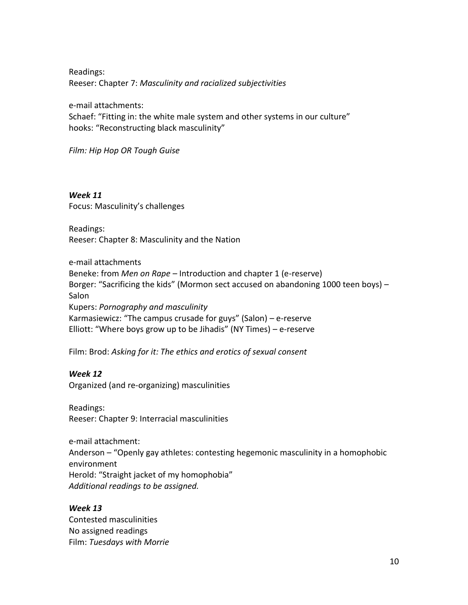Readings: Reeser: Chapter 7: *Masculinity and racialized subjectivities*

e-mail attachments:

Schaef: "Fitting in: the white male system and other systems in our culture" hooks: "Reconstructing black masculinity"

*Film: Hip Hop OR Tough Guise*

*Week 11*  Focus: Masculinity's challenges

Readings: Reeser: Chapter 8: Masculinity and the Nation

e-mail attachments Beneke: from *Men on Rape –* Introduction and chapter 1 (e-reserve) Borger: "Sacrificing the kids" (Mormon sect accused on abandoning 1000 teen boys) – **Salon** Kupers: *Pornography and masculinity*  Karmasiewicz: "The campus crusade for guys" (Salon) – e-reserve Elliott: "Where boys grow up to be Jihadis" (NY Times) – e-reserve

Film: Brod: *Asking for it: The ethics and erotics of sexual consent*

### *Week 12*

Organized (and re-organizing) masculinities

Readings: Reeser: Chapter 9: Interracial masculinities

e-mail attachment: Anderson – "Openly gay athletes: contesting hegemonic masculinity in a homophobic environment Herold: "Straight jacket of my homophobia" *Additional readings to be assigned.*

*Week 13* Contested masculinities No assigned readings Film: *Tuesdays with Morrie*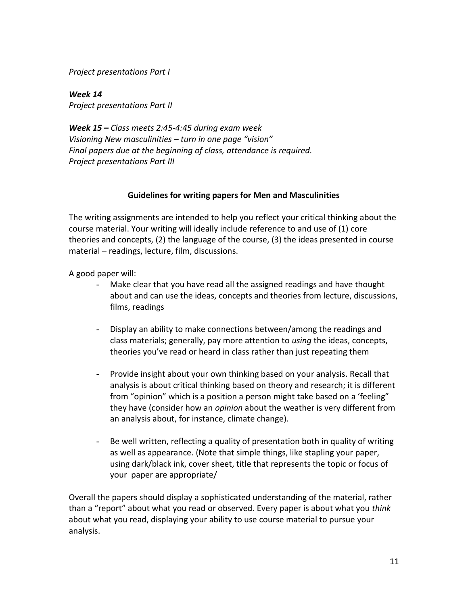*Project presentations Part I*

*Week 14 Project presentations Part II*

*Week 15 – Class meets 2:45-4:45 during exam week Visioning New masculinities – turn in one page "vision" Final papers due at the beginning of class, attendance is required. Project presentations Part III*

### **Guidelines for writing papers for Men and Masculinities**

The writing assignments are intended to help you reflect your critical thinking about the course material. Your writing will ideally include reference to and use of (1) core theories and concepts, (2) the language of the course, (3) the ideas presented in course material – readings, lecture, film, discussions.

A good paper will:

- Make clear that you have read all the assigned readings and have thought about and can use the ideas, concepts and theories from lecture, discussions, films, readings
- Display an ability to make connections between/among the readings and class materials; generally, pay more attention to *using* the ideas, concepts, theories you've read or heard in class rather than just repeating them
- Provide insight about your own thinking based on your analysis. Recall that analysis is about critical thinking based on theory and research; it is different from "opinion" which is a position a person might take based on a 'feeling" they have (consider how an *opinion* about the weather is very different from an analysis about, for instance, climate change).
- Be well written, reflecting a quality of presentation both in quality of writing as well as appearance. (Note that simple things, like stapling your paper, using dark/black ink, cover sheet, title that represents the topic or focus of your paper are appropriate/

Overall the papers should display a sophisticated understanding of the material, rather than a "report" about what you read or observed. Every paper is about what you *think* about what you read, displaying your ability to use course material to pursue your analysis.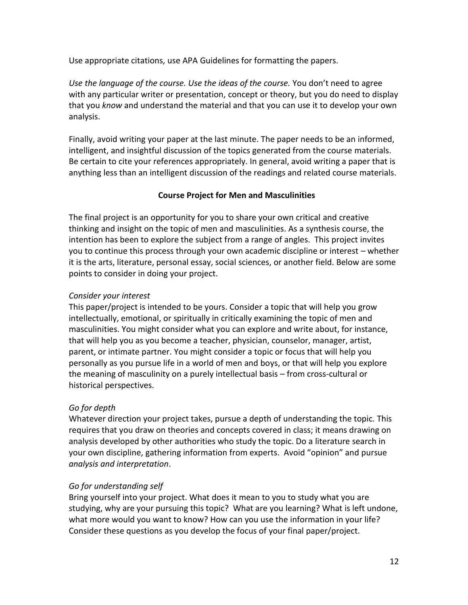Use appropriate citations, use APA Guidelines for formatting the papers.

*Use the language of the course. Use the ideas of the course.* You don't need to agree with any particular writer or presentation, concept or theory, but you do need to display that you *know* and understand the material and that you can use it to develop your own analysis.

Finally, avoid writing your paper at the last minute. The paper needs to be an informed, intelligent, and insightful discussion of the topics generated from the course materials. Be certain to cite your references appropriately. In general, avoid writing a paper that is anything less than an intelligent discussion of the readings and related course materials.

### **Course Project for Men and Masculinities**

The final project is an opportunity for you to share your own critical and creative thinking and insight on the topic of men and masculinities. As a synthesis course, the intention has been to explore the subject from a range of angles. This project invites you to continue this process through your own academic discipline or interest – whether it is the arts, literature, personal essay, social sciences, or another field. Below are some points to consider in doing your project.

#### *Consider your interest*

This paper/project is intended to be yours. Consider a topic that will help you grow intellectually, emotional, or spiritually in critically examining the topic of men and masculinities. You might consider what you can explore and write about, for instance, that will help you as you become a teacher, physician, counselor, manager, artist, parent, or intimate partner. You might consider a topic or focus that will help you personally as you pursue life in a world of men and boys, or that will help you explore the meaning of masculinity on a purely intellectual basis – from cross-cultural or historical perspectives.

### *Go for depth*

Whatever direction your project takes, pursue a depth of understanding the topic. This requires that you draw on theories and concepts covered in class; it means drawing on analysis developed by other authorities who study the topic. Do a literature search in your own discipline, gathering information from experts. Avoid "opinion" and pursue *analysis and interpretation*.

### *Go for understanding self*

Bring yourself into your project. What does it mean to you to study what you are studying, why are your pursuing this topic? What are you learning? What is left undone, what more would you want to know? How can you use the information in your life? Consider these questions as you develop the focus of your final paper/project.